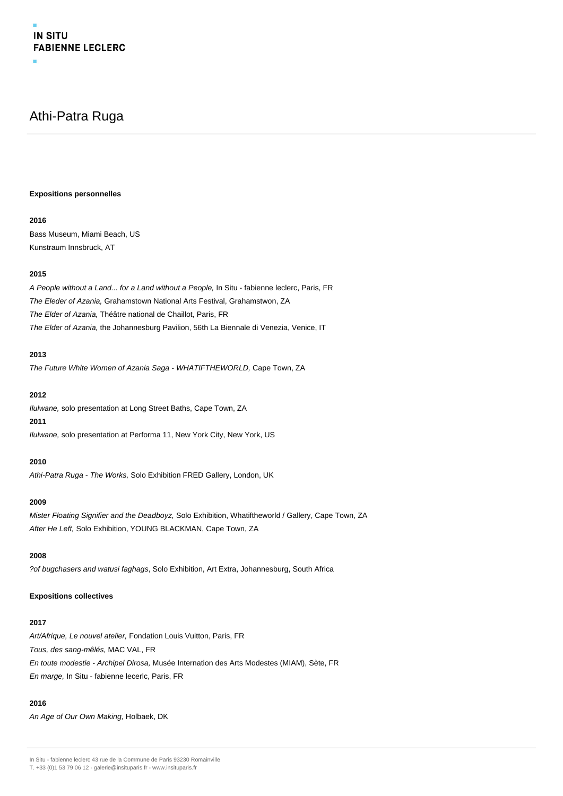# Athi-Patra Ruga

#### **Expositions personnelles**

## **2016**

Bass Museum, Miami Beach, US Kunstraum Innsbruck, AT

# **2015**

A People without a Land... for a Land without a People, In Situ - fabienne leclerc, Paris, FR The Eleder of Azania, Grahamstown National Arts Festival, Grahamstwon, ZA The Elder of Azania, Théâtre national de Chaillot, Paris, FR The Elder of Azania, the Johannesburg Pavilion, 56th La Biennale di Venezia, Venice, IT

# **2013**

The Future White Women of Azania Saga - WHATIFTHEWORLD, Cape Town, ZA

#### **2012**

Ilulwane, solo presentation at Long Street Baths, Cape Town, ZA

# **2011**

Ilulwane, solo presentation at Performa 11, New York City, New York, US

## **2010**

Athi-Patra Ruga - The Works, Solo Exhibition FRED Gallery, London, UK

#### **2009**

Mister Floating Signifier and the Deadboyz, Solo Exhibition, Whatiftheworld / Gallery, Cape Town, ZA After He Left, Solo Exhibition, YOUNG BLACKMAN, Cape Town, ZA

#### **2008**

?of bugchasers and watusi faghags, Solo Exhibition, Art Extra, Johannesburg, South Africa

#### **Expositions collectives**

#### **2017**

Art/Afrique, Le nouvel atelier, Fondation Louis Vuitton, Paris, FR Tous, des sang-mêlés, MAC VAL, FR En toute modestie - Archipel Dirosa, Musée Internation des Arts Modestes (MIAM), Sète, FR En marge, In Situ - fabienne lecerlc, Paris, FR

## **2016**

An Age of Our Own Making, Holbaek, DK

In Situ - fabienne leclerc 43 rue de la Commune de Paris 93230 Romainville

T. +33 (0)1 53 79 06 12 - galerie@insituparis.fr - www.insituparis.fr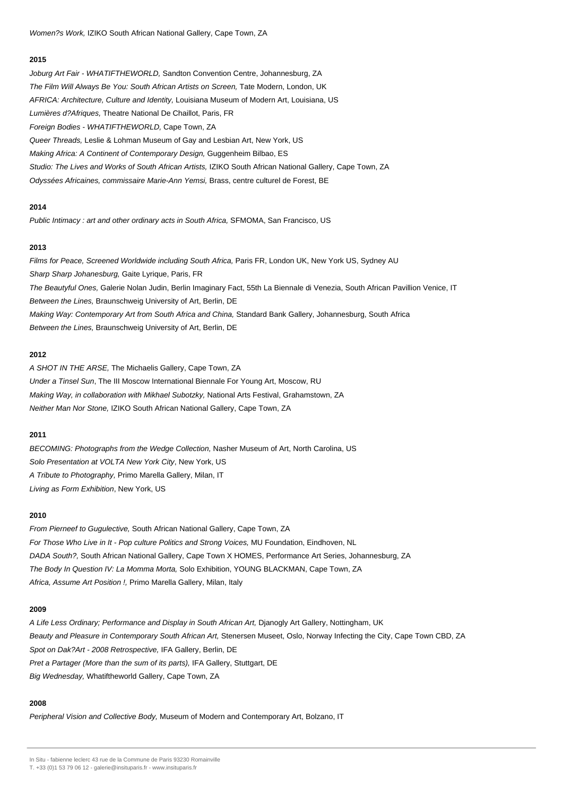#### **2015**

Joburg Art Fair - WHATIFTHEWORLD, Sandton Convention Centre, Johannesburg, ZA The Film Will Always Be You: South African Artists on Screen, Tate Modern, London, UK AFRICA: Architecture, Culture and Identity, Louisiana Museum of Modern Art, Louisiana, US Lumières d?Afriques, Theatre National De Chaillot, Paris, FR Foreign Bodies - WHATIFTHEWORLD, Cape Town, ZA Queer Threads, Leslie & Lohman Museum of Gay and Lesbian Art, New York, US Making Africa: A Continent of Contemporary Design, Guggenheim Bilbao, ES Studio: The Lives and Works of South African Artists, IZIKO South African National Gallery, Cape Town, ZA Odyssées Africaines, commissaire Marie-Ann Yemsi, Brass, centre culturel de Forest, BE

#### **2014**

Public Intimacy : art and other ordinary acts in South Africa, SFMOMA, San Francisco, US

## **2013**

Films for Peace, Screened Worldwide including South Africa, Paris FR, London UK, New York US, Sydney AU Sharp Sharp Johanesburg, Gaite Lyrique, Paris, FR The Beautyful Ones, Galerie Nolan Judin, Berlin Imaginary Fact, 55th La Biennale di Venezia, South African Pavillion Venice, IT Between the Lines, Braunschweig University of Art, Berlin, DE Making Way: Contemporary Art from South Africa and China, Standard Bank Gallery, Johannesburg, South Africa Between the Lines, Braunschweig University of Art, Berlin, DE

## **2012**

A SHOT IN THE ARSE, The Michaelis Gallery, Cape Town, ZA Under a Tinsel Sun, The III Moscow International Biennale For Young Art, Moscow, RU Making Way, in collaboration with Mikhael Subotzky, National Arts Festival, Grahamstown, ZA Neither Man Nor Stone, IZIKO South African National Gallery, Cape Town, ZA

#### **2011**

BECOMING: Photographs from the Wedge Collection, Nasher Museum of Art, North Carolina, US Solo Presentation at VOLTA New York City, New York, US A Tribute to Photography, Primo Marella Gallery, Milan, IT Living as Form Exhibition, New York, US

## **2010**

From Pierneef to Gugulective, South African National Gallery, Cape Town, ZA For Those Who Live in It - Pop culture Politics and Strong Voices, MU Foundation, Eindhoven, NL DADA South?, South African National Gallery, Cape Town X HOMES, Performance Art Series, Johannesburg, ZA The Body In Question IV: La Momma Morta, Solo Exhibition, YOUNG BLACKMAN, Cape Town, ZA Africa, Assume Art Position !, Primo Marella Gallery, Milan, Italy

#### **2009**

A Life Less Ordinary; Performance and Display in South African Art, Djanogly Art Gallery, Nottingham, UK Beauty and Pleasure in Contemporary South African Art, Stenersen Museet, Oslo, Norway Infecting the City, Cape Town CBD, ZA Spot on Dak?Art - 2008 Retrospective, IFA Gallery, Berlin, DE Pret a Partager (More than the sum of its parts), IFA Gallery, Stuttgart, DE Big Wednesday, Whatiftheworld Gallery, Cape Town, ZA

#### **2008**

Peripheral Vision and Collective Body, Museum of Modern and Contemporary Art, Bolzano, IT

In Situ - fabienne leclerc 43 rue de la Commune de Paris 93230 Romainville

T. +33 (0)1 53 79 06 12 - galerie@insituparis.fr - www.insituparis.fr